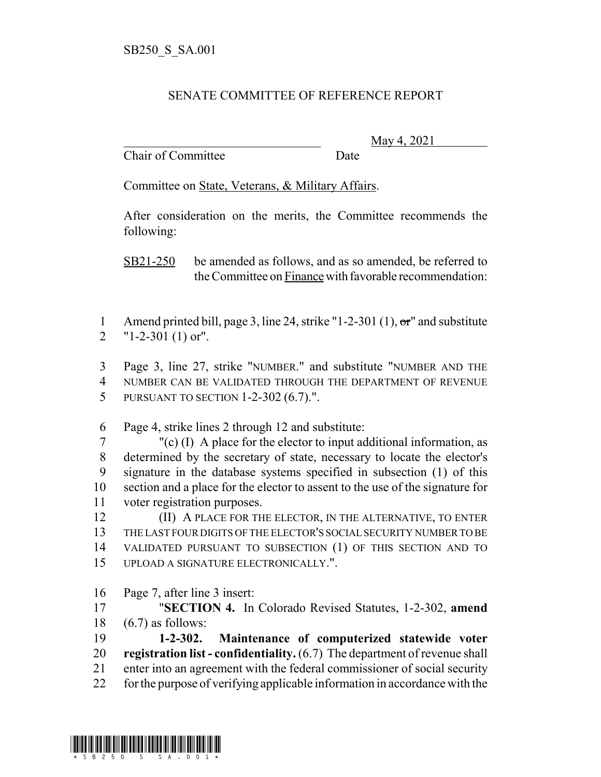## SENATE COMMITTEE OF REFERENCE REPORT

Chair of Committee Date

\_\_\_\_\_\_\_\_\_\_\_\_\_\_\_\_\_\_\_\_\_\_\_\_\_\_\_\_\_\_\_ May 4, 2021

Committee on State, Veterans, & Military Affairs.

After consideration on the merits, the Committee recommends the following:

SB21-250 be amended as follows, and as so amended, be referred to the Committee on Finance with favorable recommendation:

1 Amend printed bill, page 3, line 24, strike "1-2-301 (1), or and substitute "1-2-301 (1) or".

 Page 3, line 27, strike "NUMBER." and substitute "NUMBER AND THE NUMBER CAN BE VALIDATED THROUGH THE DEPARTMENT OF REVENUE PURSUANT TO SECTION 1-2-302 (6.7).".

Page 4, strike lines 2 through 12 and substitute:

 "(c) (I) A place for the elector to input additional information, as determined by the secretary of state, necessary to locate the elector's signature in the database systems specified in subsection (1) of this section and a place for the elector to assent to the use of the signature for voter registration purposes.

**(II) A PLACE FOR THE ELECTOR, IN THE ALTERNATIVE, TO ENTER**  THE LAST FOUR DIGITS OF THE ELECTOR'S SOCIAL SECURITY NUMBER TO BE VALIDATED PURSUANT TO SUBSECTION (1) OF THIS SECTION AND TO UPLOAD A SIGNATURE ELECTRONICALLY.".

Page 7, after line 3 insert:

 "**SECTION 4.** In Colorado Revised Statutes, 1-2-302, **amend** (6.7) as follows:

 **1-2-302. Maintenance of computerized statewide voter registration list - confidentiality.** (6.7) The department of revenue shall enter into an agreement with the federal commissioner of social security for the purpose of verifying applicable information in accordance with the

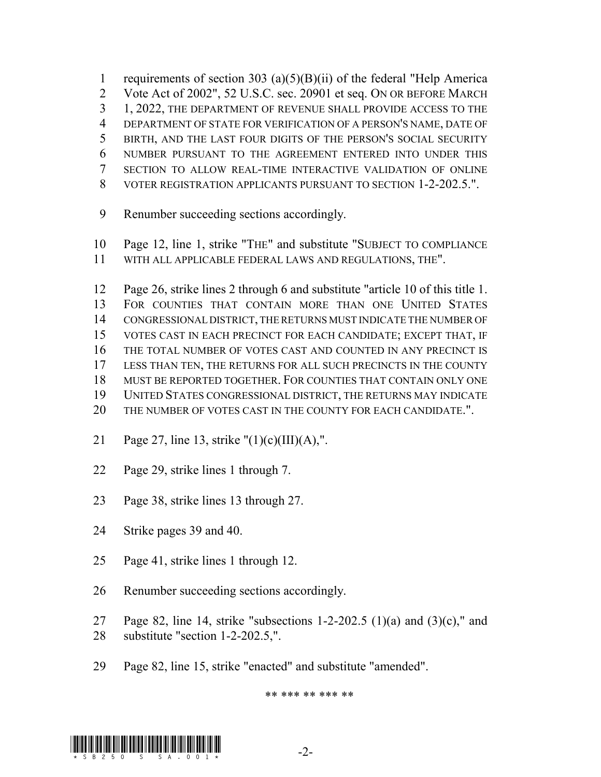1 requirements of section 303 (a)(5)(B)(ii) of the federal "Help America Vote Act of 2002", 52 U.S.C. sec. 20901 et seq. ON OR BEFORE MARCH 1, 2022, THE DEPARTMENT OF REVENUE SHALL PROVIDE ACCESS TO THE DEPARTMENT OF STATE FOR VERIFICATION OF A PERSON'S NAME, DATE OF BIRTH, AND THE LAST FOUR DIGITS OF THE PERSON'S SOCIAL SECURITY NUMBER PURSUANT TO THE AGREEMENT ENTERED INTO UNDER THIS SECTION TO ALLOW REAL-TIME INTERACTIVE VALIDATION OF ONLINE VOTER REGISTRATION APPLICANTS PURSUANT TO SECTION 1-2-202.5.".

- Renumber succeeding sections accordingly.
- Page 12, line 1, strike "THE" and substitute "SUBJECT TO COMPLIANCE
- WITH ALL APPLICABLE FEDERAL LAWS AND REGULATIONS, THE".

 Page 26, strike lines 2 through 6 and substitute "article 10 of this title 1. FOR COUNTIES THAT CONTAIN MORE THAN ONE UNITED STATES CONGRESSIONAL DISTRICT, THE RETURNS MUST INDICATE THE NUMBER OF VOTES CAST IN EACH PRECINCT FOR EACH CANDIDATE; EXCEPT THAT, IF THE TOTAL NUMBER OF VOTES CAST AND COUNTED IN ANY PRECINCT IS LESS THAN TEN, THE RETURNS FOR ALL SUCH PRECINCTS IN THE COUNTY MUST BE REPORTED TOGETHER. FOR COUNTIES THAT CONTAIN ONLY ONE UNITED STATES CONGRESSIONAL DISTRICT, THE RETURNS MAY INDICATE THE NUMBER OF VOTES CAST IN THE COUNTY FOR EACH CANDIDATE.".

- Page 27, line 13, strike "(1)(c)(III)(A),".
- Page 29, strike lines 1 through 7.
- Page 38, strike lines 13 through 27.
- Strike pages 39 and 40.
- Page 41, strike lines 1 through 12.
- Renumber succeeding sections accordingly.
- 27 Page 82, line 14, strike "subsections 1-2-202.5  $(1)(a)$  and  $(3)(c)$ ," and substitute "section 1-2-202.5,".
- Page 82, line 15, strike "enacted" and substitute "amended".

\*\* \*\*\* \*\* \*\*\* \*\*